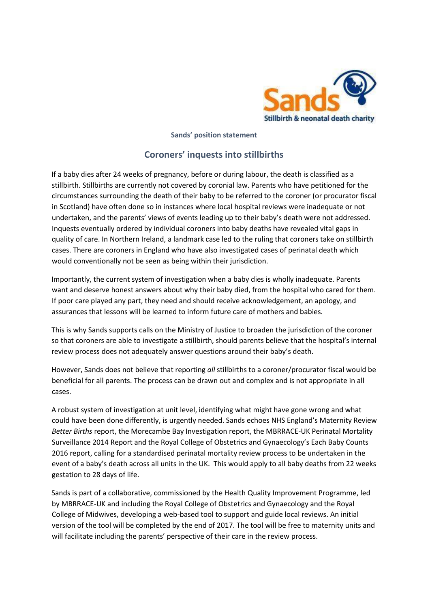

**Sands' position statement** 

## **Coroners' inquests into stillbirths**

If a baby dies after 24 weeks of pregnancy, before or during labour, the death is classified as a stillbirth. Stillbirths are currently not covered by coronial law. Parents who have petitioned for the circumstances surrounding the death of their baby to be referred to the coroner (or procurator fiscal in Scotland) have often done so in instances where local hospital reviews were inadequate or not undertaken, and the parents' views of events leading up to their baby's death were not addressed. Inquests eventually ordered by individual coroners into baby deaths have revealed vital gaps in quality of care. In Northern Ireland, a landmark case led to the ruling that coroners take on stillbirth cases. There are coroners in England who have also investigated cases of perinatal death which would conventionally not be seen as being within their jurisdiction.

Importantly, the current system of investigation when a baby dies is wholly inadequate. Parents want and deserve honest answers about why their baby died, from the hospital who cared for them. If poor care played any part, they need and should receive acknowledgement, an apology, and assurances that lessons will be learned to inform future care of mothers and babies.

This is why Sands supports calls on the Ministry of Justice to broaden the jurisdiction of the coroner so that coroners are able to investigate a stillbirth, should parents believe that the hospital's internal review process does not adequately answer questions around their baby's death.

However, Sands does not believe that reporting *all* stillbirths to a coroner/procurator fiscal would be beneficial for all parents. The process can be drawn out and complex and is not appropriate in all cases.

A robust system of investigation at unit level, identifying what might have gone wrong and what could have been done differently, is urgently needed. Sands echoes NHS England's Maternity Review *Better Births* report, the Morecambe Bay Investigation report, the MBRRACE-UK Perinatal Mortality Surveillance 2014 Report and the Royal College of Obstetrics and Gynaecology's Each Baby Counts 2016 report, calling for a standardised perinatal mortality review process to be undertaken in the event of a baby's death across all units in the UK. This would apply to all baby deaths from 22 weeks gestation to 28 days of life.

Sands is part of a collaborative, commissioned by the Health Quality Improvement Programme, led by MBRRACE-UK and including the Royal College of Obstetrics and Gynaecology and the Royal College of Midwives, developing a web-based tool to support and guide local reviews. An initial version of the tool will be completed by the end of 2017. The tool will be free to maternity units and will facilitate including the parents' perspective of their care in the review process.